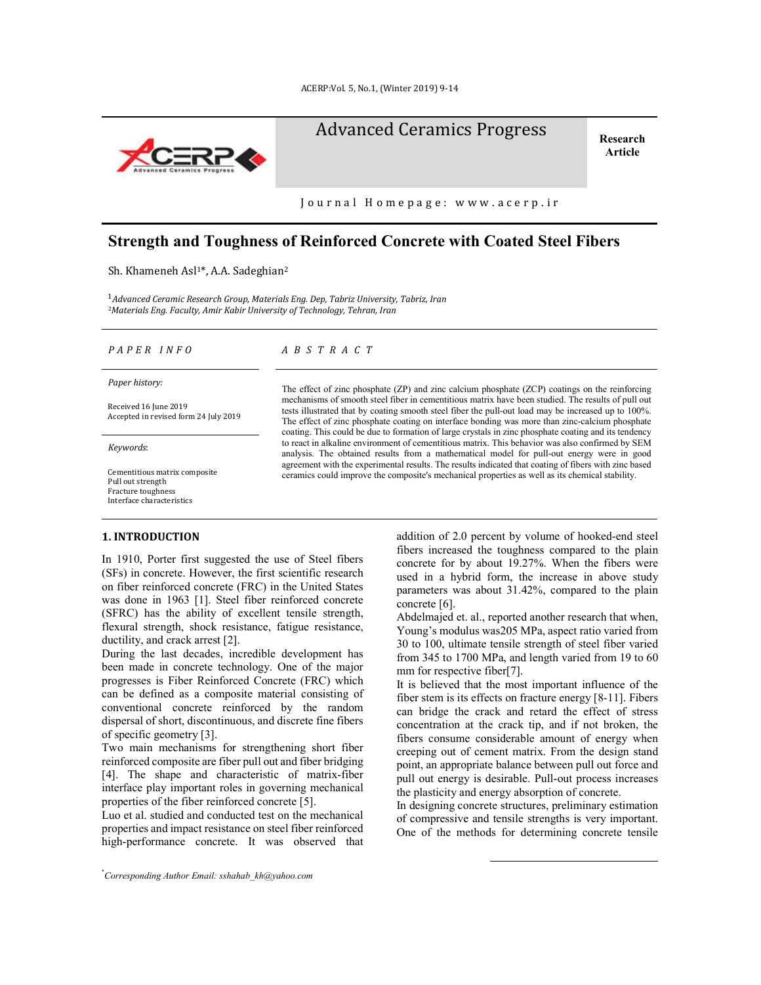

# Advanced Ceramics Progress Research

**Article**

Journal Homepage: www.acerp.ir

## **Strength and Toughness of Reinforced Concrete with Coated Steel Fibers**

Sh. Khameneh Asl<sup>1\*</sup>, A.A. Sadeghian<sup>2</sup>

<sup>1</sup>*Advanced Ceramic Research Group, Materials Eng. Dep, Tabriz University, Tabriz, Iran*  <sup>2</sup>*Materials Eng. Faculty, Amir Kabir University of Technology, Tehran, Iran*

*Paper history:*

Received 16 June 2019 Accepted in revised form 24 July 2019

*Keywords*:

Cementitious matrix composite Pull out strength Fracture toughness Interface characteristics

#### **1. INTRODUCTION\***

In 1910, Porter first suggested the use of Steel fibers (SFs) in concrete. However, the first scientific research on fiber reinforced concrete (FRC) in the United States was done in 1963 [1]. Steel fiber reinforced concrete (SFRC) has the ability of excellent tensile strength, flexural strength, shock resistance, fatigue resistance, ductility, and crack arrest [2].

During the last decades, incredible development has been made in concrete technology. One of the major progresses is Fiber Reinforced Concrete (FRC) which can be defined as a composite material consisting of conventional concrete reinforced by the random dispersal of short, discontinuous, and discrete fine fibers of specific geometry [3].

Two main mechanisms for strengthening short fiber reinforced composite are fiber pull out and fiber bridging [4]. The shape and characteristic of matrix-fiber interface play important roles in governing mechanical properties of the fiber reinforced concrete [5].

Luo et al. studied and conducted test on the mechanical properties and impact resistance on steel fiber reinforced high-performance concrete. It was observed that

\* *Corresponding Author Email: sshahab\_kh@yahoo.com*

#### *P A P E R I N F O A B S T R A C T*

The effect of zinc phosphate (ZP) and zinc calcium phosphate (ZCP) coatings on the reinforcing mechanisms of smooth steel fiber in cementitious matrix have been studied. The results of pull out tests illustrated that by coating smooth steel fiber the pull-out load may be increased up to 100%. The effect of zinc phosphate coating on interface bonding was more than zinc-calcium phosphate coating. This could be due to formation of large crystals in zinc phosphate coating and its tendency to react in alkaline environment of cementitious matrix. This behavior was also confirmed by SEM analysis. The obtained results from a mathematical model for pull-out energy were in good agreement with the experimental results. The results indicated that coating of fibers with zinc based ceramics could improve the composite's mechanical properties as well as its chemical stability.

> addition of 2.0 percent by volume of hooked-end steel fibers increased the toughness compared to the plain concrete for by about 19.27%. When the fibers were used in a hybrid form, the increase in above study parameters was about 31.42%, compared to the plain concrete [6].

> Abdelmajed et. al., reported another research that when, Young's modulus was205 MPa, aspect ratio varied from 30 to 100, ultimate tensile strength of steel fiber varied from 345 to 1700 MPa, and length varied from 19 to 60 mm for respective fiber[7].

> It is believed that the most important influence of the fiber stem is its effects on fracture energy [8-11]. Fibers can bridge the crack and retard the effect of stress concentration at the crack tip, and if not broken, the fibers consume considerable amount of energy when creeping out of cement matrix. From the design stand point, an appropriate balance between pull out force and pull out energy is desirable. Pull-out process increases the plasticity and energy absorption of concrete.

> In designing concrete structures, preliminary estimation of compressive and tensile strengths is very important. One of the methods for determining concrete tensile

> > $\overline{a}$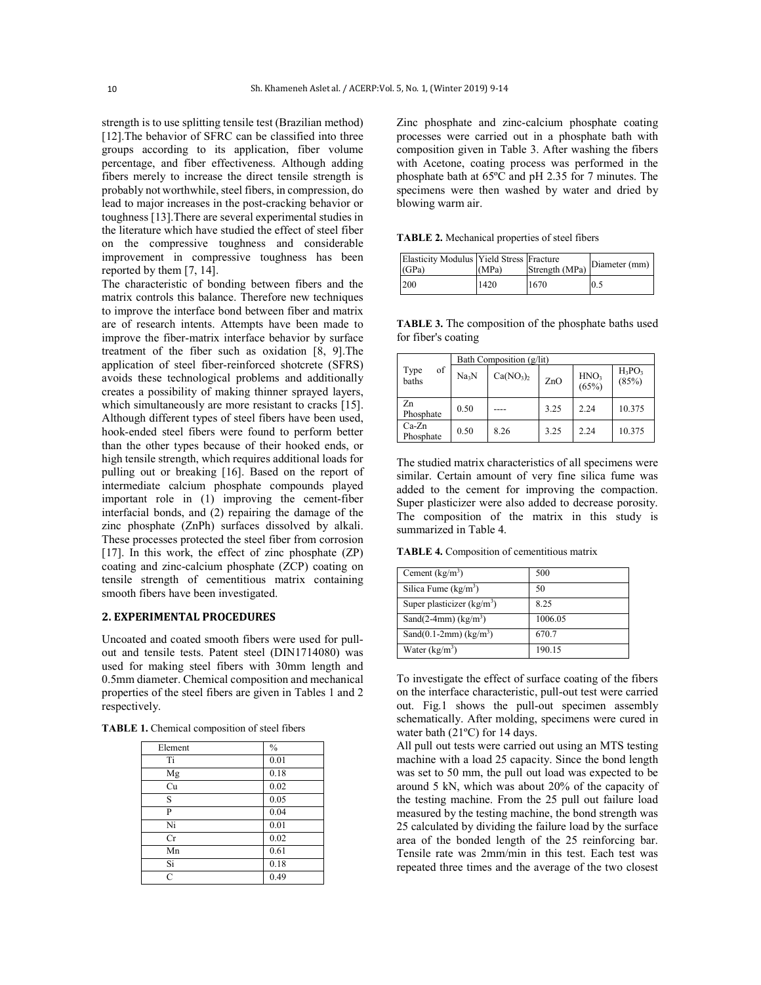strength is to use splitting tensile test (Brazilian method) [12].The behavior of SFRC can be classified into three groups according to its application, fiber volume percentage, and fiber effectiveness. Although adding fibers merely to increase the direct tensile strength is probably not worthwhile, steel fibers, in compression, do lead to major increases in the post-cracking behavior or toughness [13].There are several experimental studies in the literature which have studied the effect of steel fiber on the compressive toughness and considerable improvement in compressive toughness has been reported by them [7, 14].

The characteristic of bonding between fibers and the matrix controls this balance. Therefore new techniques to improve the interface bond between fiber and matrix are of research intents. Attempts have been made to improve the fiber-matrix interface behavior by surface treatment of the fiber such as oxidation [8, 9].The application of steel fiber-reinforced shotcrete (SFRS) avoids these technological problems and additionally creates a possibility of making thinner sprayed layers, which simultaneously are more resistant to cracks [15]. Although different types of steel fibers have been used, hook-ended steel fibers were found to perform better than the other types because of their hooked ends, or high tensile strength, which requires additional loads for pulling out or breaking [16]. Based on the report of intermediate calcium phosphate compounds played important role in (1) improving the cement-fiber interfacial bonds, and (2) repairing the damage of the zinc phosphate (ZnPh) surfaces dissolved by alkali. These processes protected the steel fiber from corrosion [17]. In this work, the effect of zinc phosphate  $(ZP)$ coating and zinc-calcium phosphate (ZCP) coating on tensile strength of cementitious matrix containing smooth fibers have been investigated.

#### **2. EXPERIMENTAL PROCEDURES**

Uncoated and coated smooth fibers were used for pullout and tensile tests. Patent steel (DIN1714080) was used for making steel fibers with 30mm length and 0.5mm diameter. Chemical composition and mechanical properties of the steel fibers are given in Tables 1 and 2 respectively.

|  |  |  |  |  |  | <b>TABLE 1.</b> Chemical composition of steel fibers |  |  |
|--|--|--|--|--|--|------------------------------------------------------|--|--|
|--|--|--|--|--|--|------------------------------------------------------|--|--|

| Element | $\%$ |
|---------|------|
| Ti      | 0.01 |
| Mg      | 0.18 |
| Cu      | 0.02 |
| S       | 0.05 |
| P       | 0.04 |
| Ni      | 0.01 |
| Cr      | 0.02 |
| Mn      | 0.61 |
| Si      | 0.18 |
| C       | 0.49 |

Zinc phosphate and zinc-calcium phosphate coating processes were carried out in a phosphate bath with composition given in Table 3. After washing the fibers with Acetone, coating process was performed in the phosphate bath at 65ºC and pH 2.35 for 7 minutes. The specimens were then washed by water and dried by blowing warm air.

**TABLE 2.** Mechanical properties of steel fibers

| Elasticity Modulus Yield Stress Fracture<br>(GPa) | (MPa) | Strength (MPa) | Diameter (mm) |
|---------------------------------------------------|-------|----------------|---------------|
| 200                                               | 1420  | 1670           | 0.5           |

**TABLE 3.** The composition of the phosphate baths used for fiber's coating

|                      | Bath Composition (g/lit) |                                   |      |                           |                    |  |
|----------------------|--------------------------|-----------------------------------|------|---------------------------|--------------------|--|
| of<br>Type<br>baths  | Na <sub>3</sub> N        | Ca(NO <sub>3</sub> ) <sub>2</sub> | ZnO  | HNO <sub>3</sub><br>(65%) | $H_3PO_3$<br>(85%) |  |
| Zn<br>Phosphate      | 0.50                     |                                   | 3.25 | 2.24                      | 10.375             |  |
| $Ca-Zn$<br>Phosphate | 0.50                     | 8.26                              | 3.25 | 2.24                      | 10.375             |  |

The studied matrix characteristics of all specimens were similar. Certain amount of very fine silica fume was added to the cement for improving the compaction. Super plasticizer were also added to decrease porosity. The composition of the matrix in this study is summarized in Table 4.

**TABLE 4.** Composition of cementitious matrix

| Cement $(kg/m3)$                      | 500     |
|---------------------------------------|---------|
| Silica Fume $(kg/m3)$                 | 50      |
| Super plasticizer $(kg/m3)$           | 8.25    |
| Sand $(2-4mm)$ (kg/m <sup>3</sup> )   | 1006.05 |
| Sand $(0.1-2mm)$ (kg/m <sup>3</sup> ) | 670.7   |
| Water $(kg/m^3)$                      | 190.15  |

To investigate the effect of surface coating of the fibers on the interface characteristic, pull-out test were carried out. Fig.1 shows the pull-out specimen assembly schematically. After molding, specimens were cured in water bath (21ºC) for 14 days.

All pull out tests were carried out using an MTS testing machine with a load 25 capacity. Since the bond length was set to 50 mm, the pull out load was expected to be around 5 kN, which was about 20% of the capacity of the testing machine. From the 25 pull out failure load measured by the testing machine, the bond strength was 25 calculated by dividing the failure load by the surface area of the bonded length of the 25 reinforcing bar. Tensile rate was 2mm/min in this test. Each test was repeated three times and the average of the two closest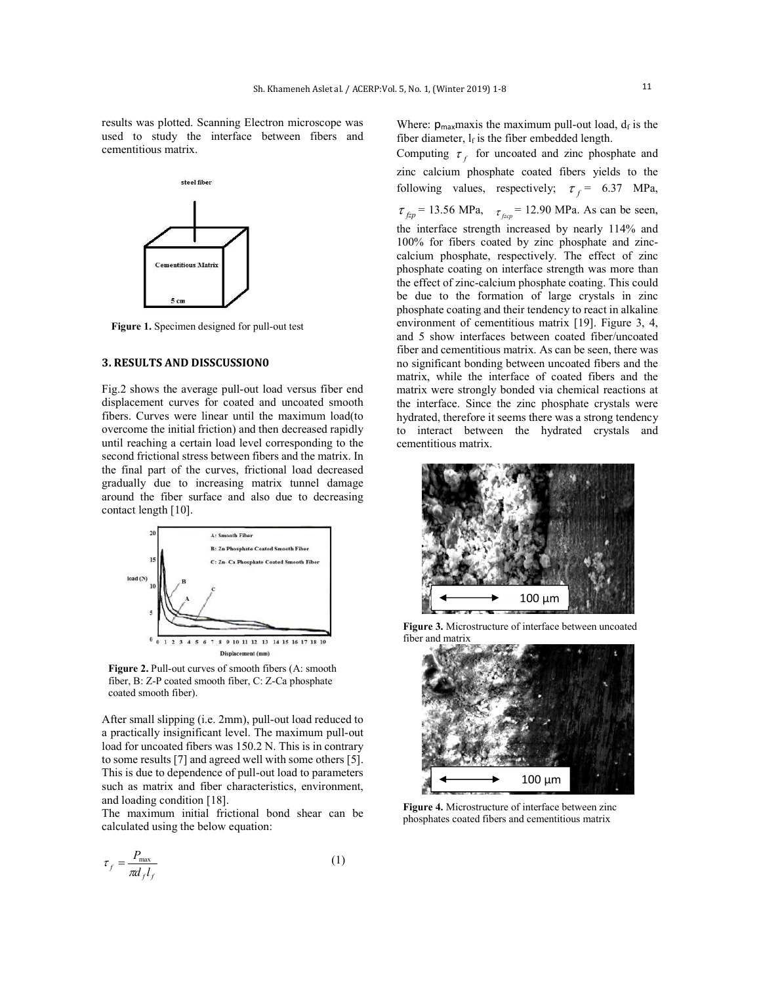results was plotted. Scanning Electron microscope was used to study the interface between fibers and cementitious matrix.



**Figure 1.** Specimen designed for pull-out test

#### **3. RESULTS AND DISSCUSSION0**

Fig.2 shows the average pull-out load versus fiber end displacement curves for coated and uncoated smooth fibers. Curves were linear until the maximum load(to overcome the initial friction) and then decreased rapidly until reaching a certain load level corresponding to the second frictional stress between fibers and the matrix. In the final part of the curves, frictional load decreased gradually due to increasing matrix tunnel damage around the fiber surface and also due to decreasing contact length [10].



**Figure 2.** Pull-out curves of smooth fibers (A: smooth fiber, B: Z-P coated smooth fiber, C: Z-Ca phosphate coated smooth fiber).

After small slipping (i.e. 2mm), pull-out load reduced to a practically insignificant level. The maximum pull-out load for uncoated fibers was 150.2 N. This is in contrary to some results [7] and agreed well with some others [5]. This is due to dependence of pull-out load to parameters such as matrix and fiber characteristics, environment, and loading condition [18].

The maximum initial frictional bond shear can be calculated using the below equation:

$$
\tau_f = \frac{P_{\text{max}}}{\pi d_f l_f} \tag{1}
$$

Where:  $p_{max}$  maxis the maximum pull-out load,  $d_f$  is the fiber diameter,  $l_f$  is the fiber embedded length.

Computing  $\tau_f$  for uncoated and zinc phosphate and zinc calcium phosphate coated fibers yields to the following values, respectively;  $\tau_f$  = 6.37 MPa,  $\tau_{fzp}$  = 13.56 MPa,  $\tau_{fzp}$  = 12.90 MPa. As can be seen, the interface strength increased by nearly 114% and 100% for fibers coated by zinc phosphate and zinccalcium phosphate, respectively. The effect of zinc phosphate coating on interface strength was more than the effect of zinc-calcium phosphate coating. This could be due to the formation of large crystals in zinc phosphate coating and their tendency to react in alkaline environment of cementitious matrix [19]. Figure 3, 4, and 5 show interfaces between coated fiber/uncoated fiber and cementitious matrix. As can be seen, there was no significant bonding between uncoated fibers and the matrix, while the interface of coated fibers and the matrix were strongly bonded via chemical reactions at the interface. Since the zinc phosphate crystals were hydrated, therefore it seems there was a strong tendency to interact between the hydrated crystals and cementitious matrix.



**Figure 3.** Microstructure of interface between uncoated fiber and matrix



**Figure 4.** Microstructure of interface between zinc phosphates coated fibers and cementitious matrix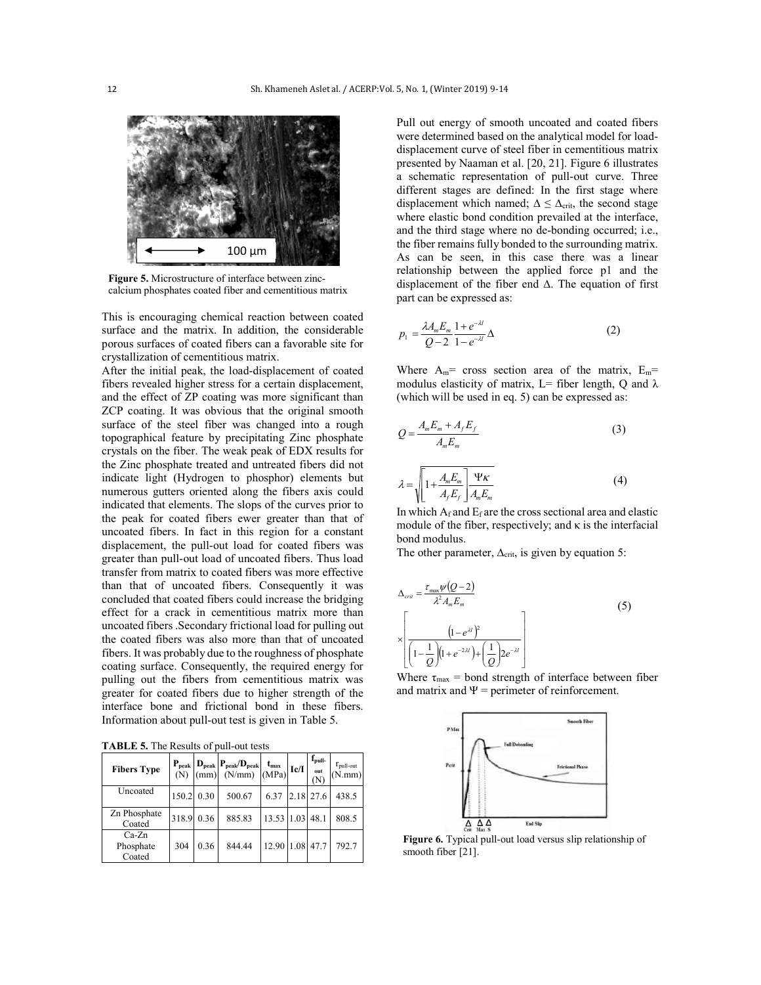

**Figure 5.** Microstructure of interface between zinccalcium phosphates coated fiber and cementitious matrix

This is encouraging chemical reaction between coated surface and the matrix. In addition, the considerable porous surfaces of coated fibers can a favorable site for crystallization of cementitious matrix.

After the initial peak, the load-displacement of coated fibers revealed higher stress for a certain displacement, and the effect of ZP coating was more significant than ZCP coating. It was obvious that the original smooth surface of the steel fiber was changed into a rough topographical feature by precipitating Zinc phosphate crystals on the fiber. The weak peak of EDX results for the Zinc phosphate treated and untreated fibers did not indicate light (Hydrogen to phosphor) elements but numerous gutters oriented along the fibers axis could indicated that elements. The slops of the curves prior to the peak for coated fibers ewer greater than that of uncoated fibers. In fact in this region for a constant displacement, the pull-out load for coated fibers was greater than pull-out load of uncoated fibers. Thus load transfer from matrix to coated fibers was more effective than that of uncoated fibers. Consequently it was concluded that coated fibers could increase the bridging effect for a crack in cementitious matrix more than uncoated fibers .Secondary frictional load for pulling out the coated fibers was also more than that of uncoated fibers. It was probably due to the roughness of phosphate coating surface. Consequently, the required energy for pulling out the fibers from cementitious matrix was greater for coated fibers due to higher strength of the interface bone and frictional bond in these fibers. Information about pull-out test is given in Table 5.

**TABLE 5.** The Results of pull-out tests

| <b>Fibers Type</b>             |            |      | $\begin{array}{c}\n\mathbf{P}_{\text{peak}} \\ (N) \\ (mm)\n\end{array}\n\begin{bmatrix}\n\mathbf{P}_{\text{peak}}/\mathbf{D}_{\text{peak}} \\ (N/mm)\n\end{bmatrix}$ | $t_{\text{max}}$<br>(MPa) | Ic/I | $f_{\text{null}}$<br>out<br><b>N</b> | $r_{\text{pull-out}}$<br>(N.mm) |
|--------------------------------|------------|------|-----------------------------------------------------------------------------------------------------------------------------------------------------------------------|---------------------------|------|--------------------------------------|---------------------------------|
| Uncoated                       | 150.2 0.30 |      | 500.67                                                                                                                                                                | 6.37                      |      | 2.18 27.6                            | 438.5                           |
| Zn Phosphate<br>Coated         | 318.9 0.36 |      | 885.83                                                                                                                                                                | 13.53 1.03                |      | 48.1                                 | 808.5                           |
| $Ca-Zn$<br>Phosphate<br>Coated | 304        | 0.36 | 844.44                                                                                                                                                                | 12.90 1.08                |      | 47.7                                 | 792.7                           |

Pull out energy of smooth uncoated and coated fibers were determined based on the analytical model for loaddisplacement curve of steel fiber in cementitious matrix presented by Naaman et al. [20, 21]. Figure 6 illustrates a schematic representation of pull-out curve. Three different stages are defined: In the first stage where displacement which named;  $\Delta \leq \Delta_{\text{crit}}$ , the second stage where elastic bond condition prevailed at the interface, and the third stage where no de-bonding occurred; i.e., the fiber remains fully bonded to the surrounding matrix. As can be seen, in this case there was a linear relationship between the applied force p1 and the displacement of the fiber end ∆. The equation of first part can be expressed as:

$$
p_1 = \frac{\lambda A_m E_m}{Q - 2} \frac{1 + e^{-\lambda l}}{1 - e^{-\lambda l}} \Delta
$$
 (2)

Where  $A_m$ = cross section area of the matrix,  $E_m$ = modulus elasticity of matrix, L= fiber length, Q and  $\lambda$ (which will be used in eq. 5) can be expressed as:

$$
Q = \frac{A_m E_m + A_f E_f}{A_m E_m} \tag{3}
$$

$$
\lambda = \sqrt{1 + \frac{A_m E_m}{A_f E_f}} \frac{\Psi \kappa}{A_m E_m}
$$
(4)

In which  $A_f$  and  $E_f$  are the cross sectional area and elastic module of the fiber, respectively; and  $\kappa$  is the interfacial bond modulus.

The other parameter,  $\Delta_{\text{crit}}$ , is given by equation 5:

$$
\Delta_{crit} = \frac{\tau_{\text{max}} \psi(Q-2)}{\lambda^2 A_m E_m}
$$
\n
$$
\times \left[ \frac{\left(1 - e^{\lambda l}\right)^2}{\left(1 - \frac{1}{Q}\right) \left(1 + e^{-2\lambda l}\right) + \left(\frac{1}{Q}\right) 2e^{-\lambda l}} \right]
$$
\n(5)

Where  $\tau_{\text{max}}$  = bond strength of interface between fiber and matrix and  $\Psi$  = perimeter of reinforcement.



**Figure 6.** Typical pull-out load versus slip relationship of smooth fiber [21].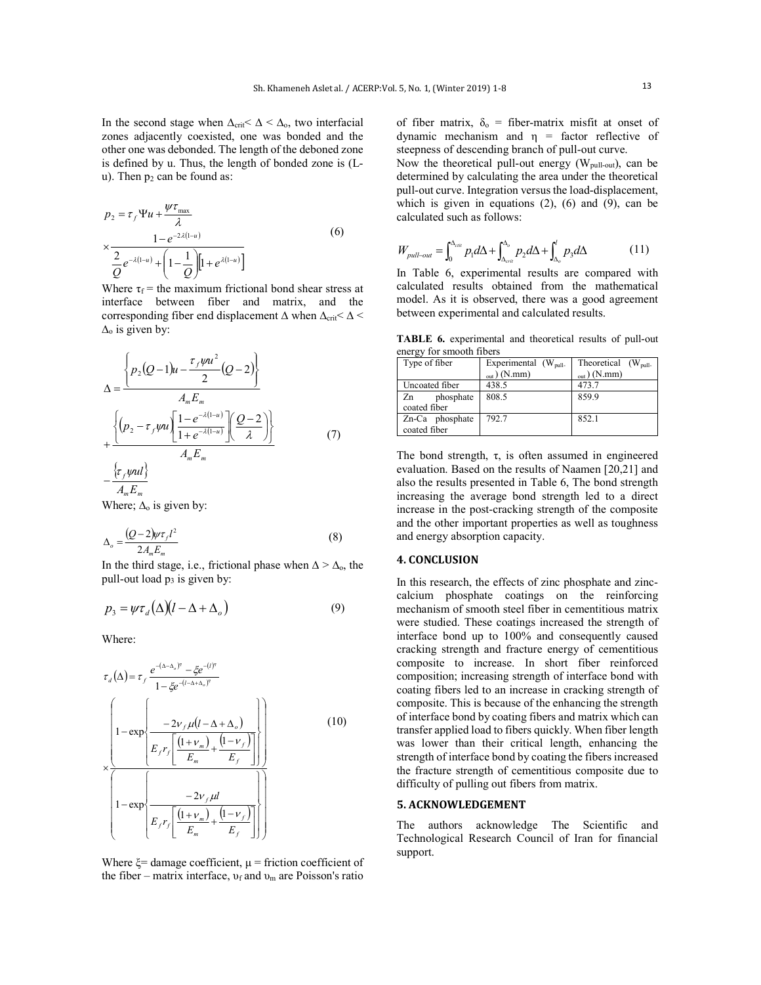In the second stage when  $\Delta_{\text{crit}} < \Delta < \Delta_0$ , two interfacial zones adjacently coexisted, one was bonded and the other one was debonded. The length of the deboned zone is defined by u. Thus, the length of bonded zone is (Lu). Then  $p_2$  can be found as:

$$
p_2 = \tau_f \Psi u + \frac{\Psi \tau_{\text{max}}}{\lambda} \times \frac{1 - e^{-2\lambda(1-u)}}{2} + \left(1 - \frac{1}{Q}\right) \left[1 + e^{\lambda(1-u)}\right]
$$
(6)

Where  $\tau_f$  = the maximum frictional bond shear stress at interface between fiber and matrix, and the corresponding fiber end displacement  $\Delta$  when  $\Delta_{\text{crit}} < \Delta$  <  $\Delta_0$  is given by:

$$
\Delta = \frac{\left\{p_2(Q-1)u - \frac{\tau_f\psi u^2}{2}(Q-2)\right\}}{A_m E_m}
$$
  
+ 
$$
\frac{\left\{(p_2 - \tau_f\psi u)\left[\frac{1-e^{-\lambda(1-u)}}{1+e^{-\lambda(1-u)}}\right]\left(\frac{Q-2}{\lambda}\right)\right\}}{A_m E_m}
$$
(7)

 $A_m E_m$ Where;  $\Delta_0$  is given by:

$$
\Delta_o = \frac{(Q-2)\mu\tau_f l^2}{2A_m E_m} \tag{8}
$$

In the third stage, i.e., frictional phase when  $\Delta > \Delta_0$ , the pull-out load  $p_3$  is given by:

$$
p_3 = \psi \tau_d (\Delta)(l - \Delta + \Delta_o)
$$
 (9)

Where:

$$
\tau_d(\Delta) = \tau_f \frac{e^{-(\Delta-\Delta_o)^n} - \xi e^{-(l)^n}}{1 - \xi e^{-(l-\Delta+\Delta_o)^n}}
$$
\n
$$
\left(1 - \exp\left\{\frac{-2v_f \mu (l - \Delta + \Delta_o)}{E_f r_f \left[\frac{(1 + v_m)}{E_m} + \frac{(1 - v_f)}{E_f}\right]}\right\}\right)
$$
\n
$$
\times \frac{\left(1 - \exp\left\{\frac{-2v_f \mu l}{E_m} - \frac{2v_f \mu l}{E_f}\right\}\right)}{1 - \exp\left\{\frac{-(1 + v_m)}{E_f} + \frac{(1 - v_f)}{E_f}\right\}}\right)}
$$
\n(10)

Where  $\xi$ = damage coefficient,  $\mu$  = friction coefficient of the fiber – matrix interface,  $v_f$  and  $v_m$  are Poisson's ratio of fiber matrix,  $\delta_0$  = fiber-matrix misfit at onset of dynamic mechanism and  $η$  = factor reflective of steepness of descending branch of pull-out curve.

Now the theoretical pull-out energy ( $W_{pull-out}$ ), can be determined by calculating the area under the theoretical pull-out curve. Integration versus the load-displacement, which is given in equations  $(2)$ ,  $(6)$  and  $(9)$ , can be calculated such as follows:

$$
W_{pull-out} = \int_0^{\Delta_{cut}} p_1 d\Delta + \int_{\Delta_{crit}}^{\Delta_o} p_2 d\Delta + \int_{\Delta_o}^l p_3 d\Delta \tag{11}
$$

In Table 6, experimental results are compared with calculated results obtained from the mathematical model. As it is observed, there was a good agreement between experimental and calculated results.

**TABLE 6.** experimental and theoretical results of pull-out energy for smooth fibers

| $\mathbf{u}$    |                          |                          |  |  |  |  |
|-----------------|--------------------------|--------------------------|--|--|--|--|
| Type of fiber   | Experimental $(W_{pull}$ | Theoretical $(W_{pull}$  |  |  |  |  |
|                 | $_{\text{out}}$ ) (N.mm) | $_{\text{out}}$ ) (N.mm) |  |  |  |  |
| Uncoated fiber  | 438.5                    | 473.7                    |  |  |  |  |
| phosphate<br>Zn | 808.5                    | 859.9                    |  |  |  |  |
| coated fiber    |                          |                          |  |  |  |  |
| Zn-Ca phosphate | 792.7                    | 852.1                    |  |  |  |  |
| coated fiber    |                          |                          |  |  |  |  |

The bond strength,  $\tau$ , is often assumed in engineered evaluation. Based on the results of Naamen [20,21] and also the results presented in Table 6, The bond strength increasing the average bond strength led to a direct increase in the post-cracking strength of the composite and the other important properties as well as toughness and energy absorption capacity.

#### **4. CONCLUSION**

In this research, the effects of zinc phosphate and zinccalcium phosphate coatings on the reinforcing mechanism of smooth steel fiber in cementitious matrix were studied. These coatings increased the strength of interface bond up to 100% and consequently caused cracking strength and fracture energy of cementitious composite to increase. In short fiber reinforced composition; increasing strength of interface bond with coating fibers led to an increase in cracking strength of composite. This is because of the enhancing the strength of interface bond by coating fibers and matrix which can transfer applied load to fibers quickly. When fiber length was lower than their critical length, enhancing the strength of interface bond by coating the fibers increased the fracture strength of cementitious composite due to difficulty of pulling out fibers from matrix.

#### **5. ACKNOWLEDGEMENT**

The authors acknowledge The Scientific and Technological Research Council of Iran for financial support.